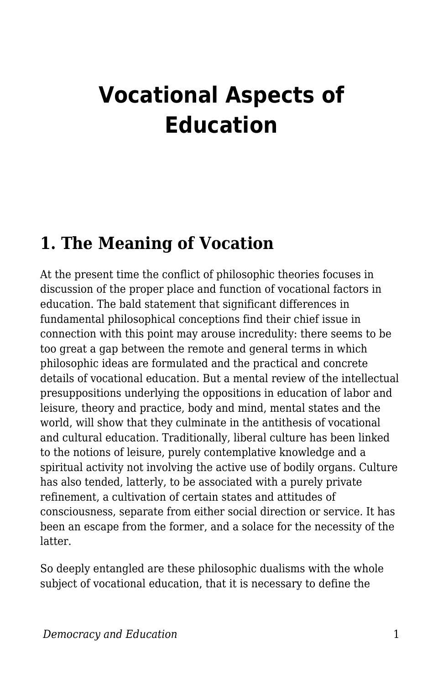# **Vocational Aspects of Education**

#### **1. The Meaning of Vocation**

At the present time the conflict of philosophic theories focuses in discussion of the proper place and function of vocational factors in education. The bald statement that significant differences in fundamental philosophical conceptions find their chief issue in connection with this point may arouse incredulity: there seems to be too great a gap between the remote and general terms in which philosophic ideas are formulated and the practical and concrete details of vocational education. But a mental review of the intellectual presuppositions underlying the oppositions in education of labor and leisure, theory and practice, body and mind, mental states and the world, will show that they culminate in the antithesis of vocational and cultural education. Traditionally, liberal culture has been linked to the notions of leisure, purely contemplative knowledge and a spiritual activity not involving the active use of bodily organs. Culture has also tended, latterly, to be associated with a purely private refinement, a cultivation of certain states and attitudes of consciousness, separate from either social direction or service. It has been an escape from the former, and a solace for the necessity of the latter.

So deeply entangled are these philosophic dualisms with the whole subject of vocational education, that it is necessary to define the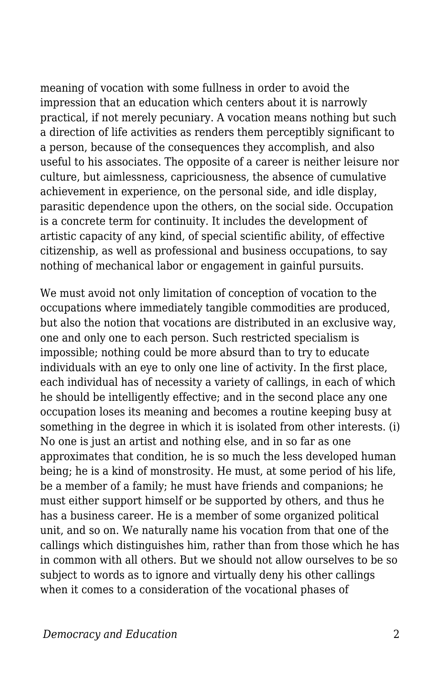meaning of vocation with some fullness in order to avoid the impression that an education which centers about it is narrowly practical, if not merely pecuniary. A vocation means nothing but such a direction of life activities as renders them perceptibly significant to a person, because of the consequences they accomplish, and also useful to his associates. The opposite of a career is neither leisure nor culture, but aimlessness, capriciousness, the absence of cumulative achievement in experience, on the personal side, and idle display, parasitic dependence upon the others, on the social side. Occupation is a concrete term for continuity. It includes the development of artistic capacity of any kind, of special scientific ability, of effective citizenship, as well as professional and business occupations, to say nothing of mechanical labor or engagement in gainful pursuits.

We must avoid not only limitation of conception of vocation to the occupations where immediately tangible commodities are produced, but also the notion that vocations are distributed in an exclusive way, one and only one to each person. Such restricted specialism is impossible; nothing could be more absurd than to try to educate individuals with an eye to only one line of activity. In the first place, each individual has of necessity a variety of callings, in each of which he should be intelligently effective; and in the second place any one occupation loses its meaning and becomes a routine keeping busy at something in the degree in which it is isolated from other interests. (i) No one is just an artist and nothing else, and in so far as one approximates that condition, he is so much the less developed human being; he is a kind of monstrosity. He must, at some period of his life, be a member of a family; he must have friends and companions; he must either support himself or be supported by others, and thus he has a business career. He is a member of some organized political unit, and so on. We naturally name his vocation from that one of the callings which distinguishes him, rather than from those which he has in common with all others. But we should not allow ourselves to be so subject to words as to ignore and virtually deny his other callings when it comes to a consideration of the vocational phases of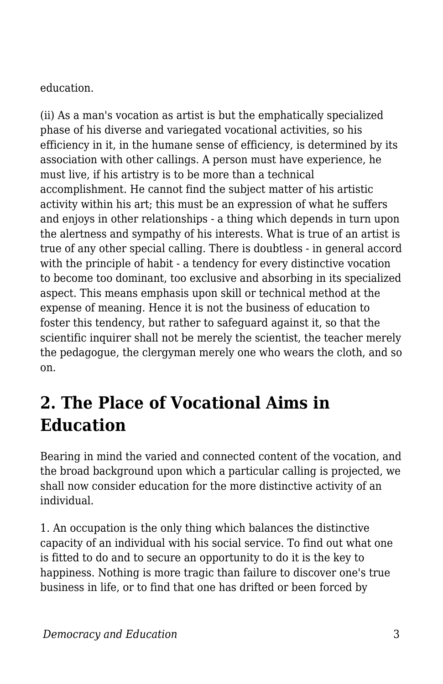education.

(ii) As a man's vocation as artist is but the emphatically specialized phase of his diverse and variegated vocational activities, so his efficiency in it, in the humane sense of efficiency, is determined by its association with other callings. A person must have experience, he must live, if his artistry is to be more than a technical accomplishment. He cannot find the subject matter of his artistic activity within his art; this must be an expression of what he suffers and enjoys in other relationships - a thing which depends in turn upon the alertness and sympathy of his interests. What is true of an artist is true of any other special calling. There is doubtless - in general accord with the principle of habit - a tendency for every distinctive vocation to become too dominant, too exclusive and absorbing in its specialized aspect. This means emphasis upon skill or technical method at the expense of meaning. Hence it is not the business of education to foster this tendency, but rather to safeguard against it, so that the scientific inquirer shall not be merely the scientist, the teacher merely the pedagogue, the clergyman merely one who wears the cloth, and so on.

## **2. The Place of Vocational Aims in Education**

Bearing in mind the varied and connected content of the vocation, and the broad background upon which a particular calling is projected, we shall now consider education for the more distinctive activity of an individual.

1. An occupation is the only thing which balances the distinctive capacity of an individual with his social service. To find out what one is fitted to do and to secure an opportunity to do it is the key to happiness. Nothing is more tragic than failure to discover one's true business in life, or to find that one has drifted or been forced by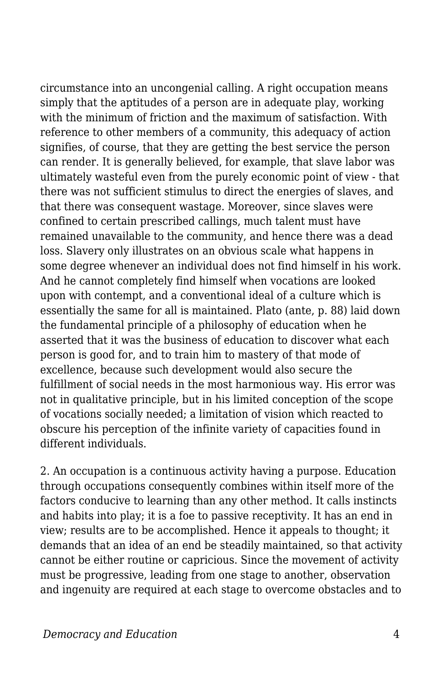circumstance into an uncongenial calling. A right occupation means simply that the aptitudes of a person are in adequate play, working with the minimum of friction and the maximum of satisfaction. With reference to other members of a community, this adequacy of action signifies, of course, that they are getting the best service the person can render. It is generally believed, for example, that slave labor was ultimately wasteful even from the purely economic point of view - that there was not sufficient stimulus to direct the energies of slaves, and that there was consequent wastage. Moreover, since slaves were confined to certain prescribed callings, much talent must have remained unavailable to the community, and hence there was a dead loss. Slavery only illustrates on an obvious scale what happens in some degree whenever an individual does not find himself in his work. And he cannot completely find himself when vocations are looked upon with contempt, and a conventional ideal of a culture which is essentially the same for all is maintained. Plato (ante, p. 88) laid down the fundamental principle of a philosophy of education when he asserted that it was the business of education to discover what each person is good for, and to train him to mastery of that mode of excellence, because such development would also secure the fulfillment of social needs in the most harmonious way. His error was not in qualitative principle, but in his limited conception of the scope of vocations socially needed; a limitation of vision which reacted to obscure his perception of the infinite variety of capacities found in different individuals.

2. An occupation is a continuous activity having a purpose. Education through occupations consequently combines within itself more of the factors conducive to learning than any other method. It calls instincts and habits into play; it is a foe to passive receptivity. It has an end in view; results are to be accomplished. Hence it appeals to thought; it demands that an idea of an end be steadily maintained, so that activity cannot be either routine or capricious. Since the movement of activity must be progressive, leading from one stage to another, observation and ingenuity are required at each stage to overcome obstacles and to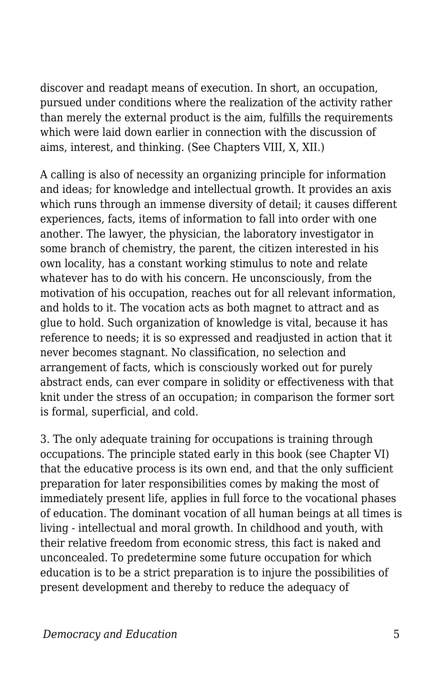discover and readapt means of execution. In short, an occupation, pursued under conditions where the realization of the activity rather than merely the external product is the aim, fulfills the requirements which were laid down earlier in connection with the discussion of aims, interest, and thinking. (See Chapters VIII, X, XII.)

A calling is also of necessity an organizing principle for information and ideas; for knowledge and intellectual growth. It provides an axis which runs through an immense diversity of detail; it causes different experiences, facts, items of information to fall into order with one another. The lawyer, the physician, the laboratory investigator in some branch of chemistry, the parent, the citizen interested in his own locality, has a constant working stimulus to note and relate whatever has to do with his concern. He unconsciously, from the motivation of his occupation, reaches out for all relevant information, and holds to it. The vocation acts as both magnet to attract and as glue to hold. Such organization of knowledge is vital, because it has reference to needs; it is so expressed and readjusted in action that it never becomes stagnant. No classification, no selection and arrangement of facts, which is consciously worked out for purely abstract ends, can ever compare in solidity or effectiveness with that knit under the stress of an occupation; in comparison the former sort is formal, superficial, and cold.

3. The only adequate training for occupations is training through occupations. The principle stated early in this book (see Chapter VI) that the educative process is its own end, and that the only sufficient preparation for later responsibilities comes by making the most of immediately present life, applies in full force to the vocational phases of education. The dominant vocation of all human beings at all times is living - intellectual and moral growth. In childhood and youth, with their relative freedom from economic stress, this fact is naked and unconcealed. To predetermine some future occupation for which education is to be a strict preparation is to injure the possibilities of present development and thereby to reduce the adequacy of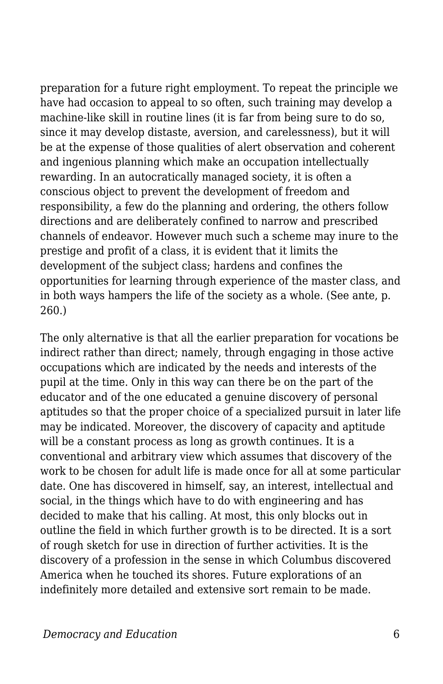preparation for a future right employment. To repeat the principle we have had occasion to appeal to so often, such training may develop a machine-like skill in routine lines (it is far from being sure to do so, since it may develop distaste, aversion, and carelessness), but it will be at the expense of those qualities of alert observation and coherent and ingenious planning which make an occupation intellectually rewarding. In an autocratically managed society, it is often a conscious object to prevent the development of freedom and responsibility, a few do the planning and ordering, the others follow directions and are deliberately confined to narrow and prescribed channels of endeavor. However much such a scheme may inure to the prestige and profit of a class, it is evident that it limits the development of the subject class; hardens and confines the opportunities for learning through experience of the master class, and in both ways hampers the life of the society as a whole. (See ante, p. 260.)

The only alternative is that all the earlier preparation for vocations be indirect rather than direct; namely, through engaging in those active occupations which are indicated by the needs and interests of the pupil at the time. Only in this way can there be on the part of the educator and of the one educated a genuine discovery of personal aptitudes so that the proper choice of a specialized pursuit in later life may be indicated. Moreover, the discovery of capacity and aptitude will be a constant process as long as growth continues. It is a conventional and arbitrary view which assumes that discovery of the work to be chosen for adult life is made once for all at some particular date. One has discovered in himself, say, an interest, intellectual and social, in the things which have to do with engineering and has decided to make that his calling. At most, this only blocks out in outline the field in which further growth is to be directed. It is a sort of rough sketch for use in direction of further activities. It is the discovery of a profession in the sense in which Columbus discovered America when he touched its shores. Future explorations of an indefinitely more detailed and extensive sort remain to be made.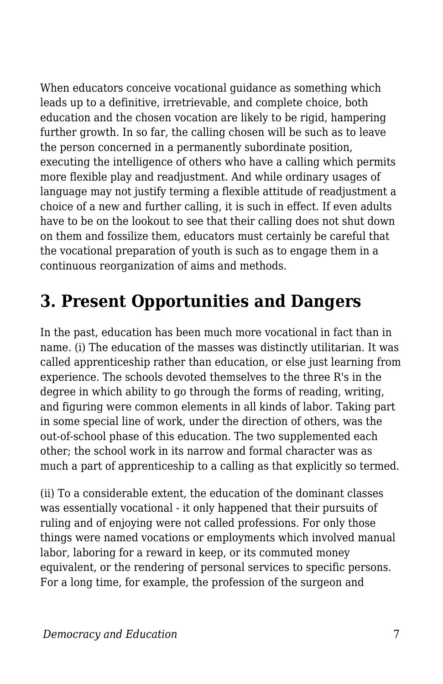When educators conceive vocational guidance as something which leads up to a definitive, irretrievable, and complete choice, both education and the chosen vocation are likely to be rigid, hampering further growth. In so far, the calling chosen will be such as to leave the person concerned in a permanently subordinate position, executing the intelligence of others who have a calling which permits more flexible play and readjustment. And while ordinary usages of language may not justify terming a flexible attitude of readjustment a choice of a new and further calling, it is such in effect. If even adults have to be on the lookout to see that their calling does not shut down on them and fossilize them, educators must certainly be careful that the vocational preparation of youth is such as to engage them in a continuous reorganization of aims and methods.

### **3. Present Opportunities and Dangers**

In the past, education has been much more vocational in fact than in name. (i) The education of the masses was distinctly utilitarian. It was called apprenticeship rather than education, or else just learning from experience. The schools devoted themselves to the three R's in the degree in which ability to go through the forms of reading, writing, and figuring were common elements in all kinds of labor. Taking part in some special line of work, under the direction of others, was the out-of-school phase of this education. The two supplemented each other; the school work in its narrow and formal character was as much a part of apprenticeship to a calling as that explicitly so termed.

(ii) To a considerable extent, the education of the dominant classes was essentially vocational - it only happened that their pursuits of ruling and of enjoying were not called professions. For only those things were named vocations or employments which involved manual labor, laboring for a reward in keep, or its commuted money equivalent, or the rendering of personal services to specific persons. For a long time, for example, the profession of the surgeon and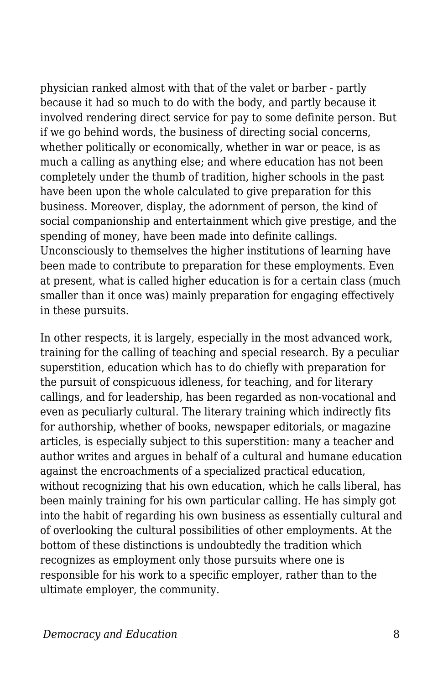physician ranked almost with that of the valet or barber - partly because it had so much to do with the body, and partly because it involved rendering direct service for pay to some definite person. But if we go behind words, the business of directing social concerns, whether politically or economically, whether in war or peace, is as much a calling as anything else; and where education has not been completely under the thumb of tradition, higher schools in the past have been upon the whole calculated to give preparation for this business. Moreover, display, the adornment of person, the kind of social companionship and entertainment which give prestige, and the spending of money, have been made into definite callings. Unconsciously to themselves the higher institutions of learning have been made to contribute to preparation for these employments. Even at present, what is called higher education is for a certain class (much smaller than it once was) mainly preparation for engaging effectively in these pursuits.

In other respects, it is largely, especially in the most advanced work, training for the calling of teaching and special research. By a peculiar superstition, education which has to do chiefly with preparation for the pursuit of conspicuous idleness, for teaching, and for literary callings, and for leadership, has been regarded as non-vocational and even as peculiarly cultural. The literary training which indirectly fits for authorship, whether of books, newspaper editorials, or magazine articles, is especially subject to this superstition: many a teacher and author writes and argues in behalf of a cultural and humane education against the encroachments of a specialized practical education, without recognizing that his own education, which he calls liberal, has been mainly training for his own particular calling. He has simply got into the habit of regarding his own business as essentially cultural and of overlooking the cultural possibilities of other employments. At the bottom of these distinctions is undoubtedly the tradition which recognizes as employment only those pursuits where one is responsible for his work to a specific employer, rather than to the ultimate employer, the community.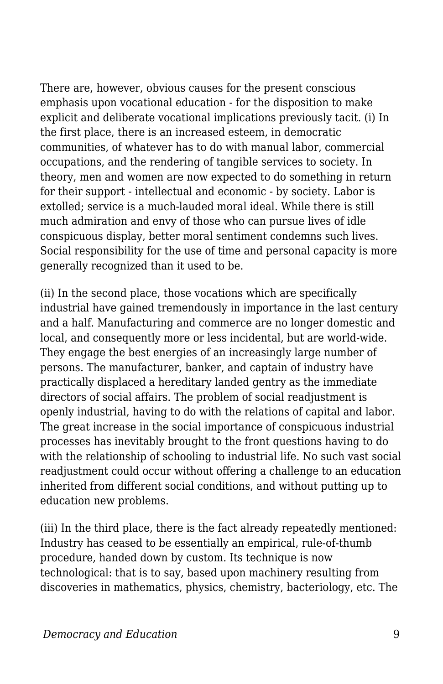There are, however, obvious causes for the present conscious emphasis upon vocational education - for the disposition to make explicit and deliberate vocational implications previously tacit. (i) In the first place, there is an increased esteem, in democratic communities, of whatever has to do with manual labor, commercial occupations, and the rendering of tangible services to society. In theory, men and women are now expected to do something in return for their support - intellectual and economic - by society. Labor is extolled; service is a much-lauded moral ideal. While there is still much admiration and envy of those who can pursue lives of idle conspicuous display, better moral sentiment condemns such lives. Social responsibility for the use of time and personal capacity is more generally recognized than it used to be.

(ii) In the second place, those vocations which are specifically industrial have gained tremendously in importance in the last century and a half. Manufacturing and commerce are no longer domestic and local, and consequently more or less incidental, but are world-wide. They engage the best energies of an increasingly large number of persons. The manufacturer, banker, and captain of industry have practically displaced a hereditary landed gentry as the immediate directors of social affairs. The problem of social readjustment is openly industrial, having to do with the relations of capital and labor. The great increase in the social importance of conspicuous industrial processes has inevitably brought to the front questions having to do with the relationship of schooling to industrial life. No such vast social readjustment could occur without offering a challenge to an education inherited from different social conditions, and without putting up to education new problems.

(iii) In the third place, there is the fact already repeatedly mentioned: Industry has ceased to be essentially an empirical, rule-of-thumb procedure, handed down by custom. Its technique is now technological: that is to say, based upon machinery resulting from discoveries in mathematics, physics, chemistry, bacteriology, etc. The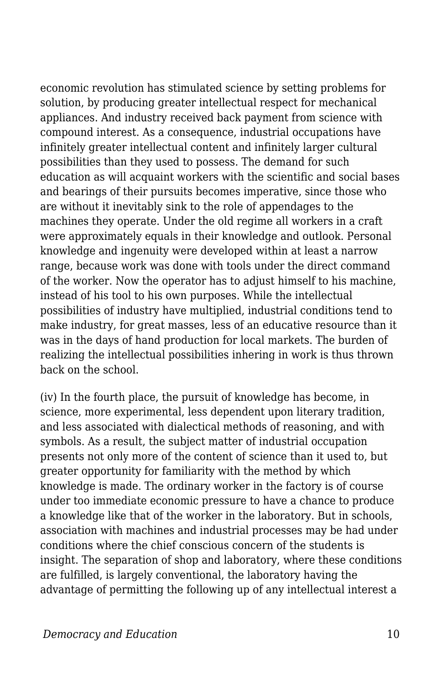economic revolution has stimulated science by setting problems for solution, by producing greater intellectual respect for mechanical appliances. And industry received back payment from science with compound interest. As a consequence, industrial occupations have infinitely greater intellectual content and infinitely larger cultural possibilities than they used to possess. The demand for such education as will acquaint workers with the scientific and social bases and bearings of their pursuits becomes imperative, since those who are without it inevitably sink to the role of appendages to the machines they operate. Under the old regime all workers in a craft were approximately equals in their knowledge and outlook. Personal knowledge and ingenuity were developed within at least a narrow range, because work was done with tools under the direct command of the worker. Now the operator has to adjust himself to his machine, instead of his tool to his own purposes. While the intellectual possibilities of industry have multiplied, industrial conditions tend to make industry, for great masses, less of an educative resource than it was in the days of hand production for local markets. The burden of realizing the intellectual possibilities inhering in work is thus thrown back on the school.

(iv) In the fourth place, the pursuit of knowledge has become, in science, more experimental, less dependent upon literary tradition, and less associated with dialectical methods of reasoning, and with symbols. As a result, the subject matter of industrial occupation presents not only more of the content of science than it used to, but greater opportunity for familiarity with the method by which knowledge is made. The ordinary worker in the factory is of course under too immediate economic pressure to have a chance to produce a knowledge like that of the worker in the laboratory. But in schools, association with machines and industrial processes may be had under conditions where the chief conscious concern of the students is insight. The separation of shop and laboratory, where these conditions are fulfilled, is largely conventional, the laboratory having the advantage of permitting the following up of any intellectual interest a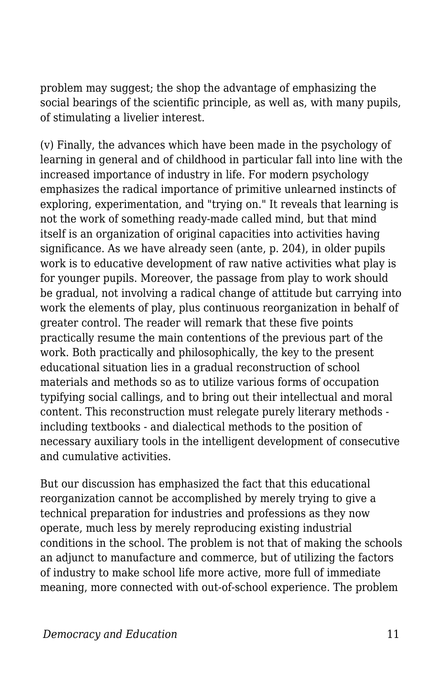problem may suggest; the shop the advantage of emphasizing the social bearings of the scientific principle, as well as, with many pupils, of stimulating a livelier interest.

(v) Finally, the advances which have been made in the psychology of learning in general and of childhood in particular fall into line with the increased importance of industry in life. For modern psychology emphasizes the radical importance of primitive unlearned instincts of exploring, experimentation, and "trying on." It reveals that learning is not the work of something ready-made called mind, but that mind itself is an organization of original capacities into activities having significance. As we have already seen (ante, p. 204), in older pupils work is to educative development of raw native activities what play is for younger pupils. Moreover, the passage from play to work should be gradual, not involving a radical change of attitude but carrying into work the elements of play, plus continuous reorganization in behalf of greater control. The reader will remark that these five points practically resume the main contentions of the previous part of the work. Both practically and philosophically, the key to the present educational situation lies in a gradual reconstruction of school materials and methods so as to utilize various forms of occupation typifying social callings, and to bring out their intellectual and moral content. This reconstruction must relegate purely literary methods including textbooks - and dialectical methods to the position of necessary auxiliary tools in the intelligent development of consecutive and cumulative activities.

But our discussion has emphasized the fact that this educational reorganization cannot be accomplished by merely trying to give a technical preparation for industries and professions as they now operate, much less by merely reproducing existing industrial conditions in the school. The problem is not that of making the schools an adjunct to manufacture and commerce, but of utilizing the factors of industry to make school life more active, more full of immediate meaning, more connected with out-of-school experience. The problem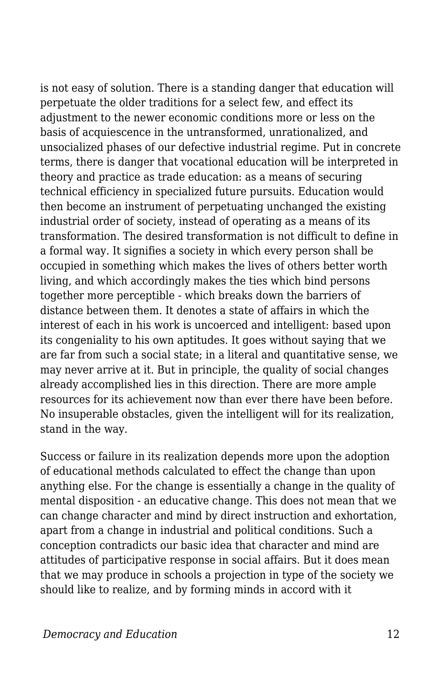is not easy of solution. There is a standing danger that education will perpetuate the older traditions for a select few, and effect its adjustment to the newer economic conditions more or less on the basis of acquiescence in the untransformed, unrationalized, and unsocialized phases of our defective industrial regime. Put in concrete terms, there is danger that vocational education will be interpreted in theory and practice as trade education: as a means of securing technical efficiency in specialized future pursuits. Education would then become an instrument of perpetuating unchanged the existing industrial order of society, instead of operating as a means of its transformation. The desired transformation is not difficult to define in a formal way. It signifies a society in which every person shall be occupied in something which makes the lives of others better worth living, and which accordingly makes the ties which bind persons together more perceptible - which breaks down the barriers of distance between them. It denotes a state of affairs in which the interest of each in his work is uncoerced and intelligent: based upon its congeniality to his own aptitudes. It goes without saying that we are far from such a social state; in a literal and quantitative sense, we may never arrive at it. But in principle, the quality of social changes already accomplished lies in this direction. There are more ample resources for its achievement now than ever there have been before. No insuperable obstacles, given the intelligent will for its realization, stand in the way.

Success or failure in its realization depends more upon the adoption of educational methods calculated to effect the change than upon anything else. For the change is essentially a change in the quality of mental disposition - an educative change. This does not mean that we can change character and mind by direct instruction and exhortation, apart from a change in industrial and political conditions. Such a conception contradicts our basic idea that character and mind are attitudes of participative response in social affairs. But it does mean that we may produce in schools a projection in type of the society we should like to realize, and by forming minds in accord with it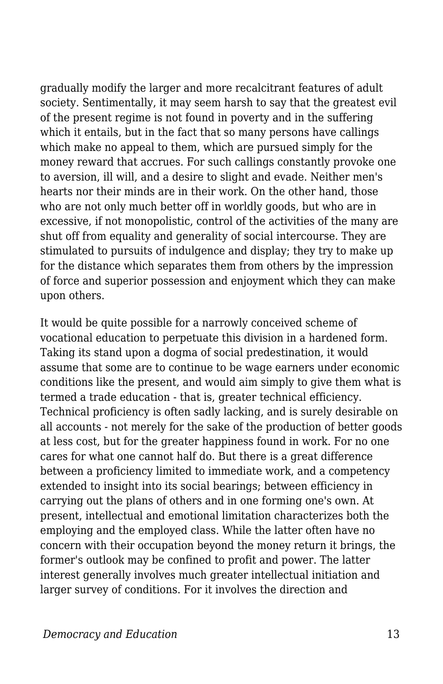gradually modify the larger and more recalcitrant features of adult society. Sentimentally, it may seem harsh to say that the greatest evil of the present regime is not found in poverty and in the suffering which it entails, but in the fact that so many persons have callings which make no appeal to them, which are pursued simply for the money reward that accrues. For such callings constantly provoke one to aversion, ill will, and a desire to slight and evade. Neither men's hearts nor their minds are in their work. On the other hand, those who are not only much better off in worldly goods, but who are in excessive, if not monopolistic, control of the activities of the many are shut off from equality and generality of social intercourse. They are stimulated to pursuits of indulgence and display; they try to make up for the distance which separates them from others by the impression of force and superior possession and enjoyment which they can make upon others.

It would be quite possible for a narrowly conceived scheme of vocational education to perpetuate this division in a hardened form. Taking its stand upon a dogma of social predestination, it would assume that some are to continue to be wage earners under economic conditions like the present, and would aim simply to give them what is termed a trade education - that is, greater technical efficiency. Technical proficiency is often sadly lacking, and is surely desirable on all accounts - not merely for the sake of the production of better goods at less cost, but for the greater happiness found in work. For no one cares for what one cannot half do. But there is a great difference between a proficiency limited to immediate work, and a competency extended to insight into its social bearings; between efficiency in carrying out the plans of others and in one forming one's own. At present, intellectual and emotional limitation characterizes both the employing and the employed class. While the latter often have no concern with their occupation beyond the money return it brings, the former's outlook may be confined to profit and power. The latter interest generally involves much greater intellectual initiation and larger survey of conditions. For it involves the direction and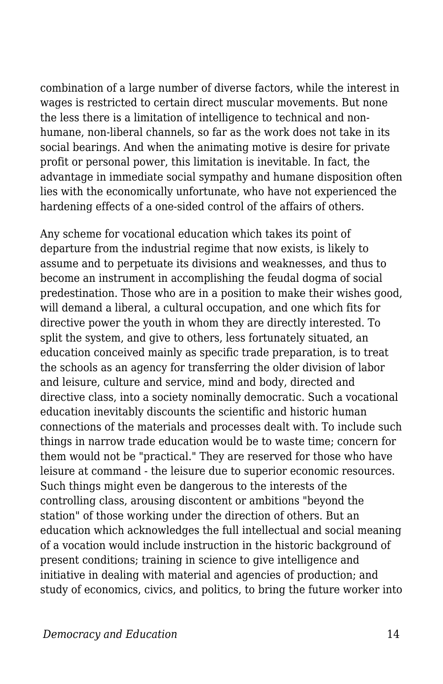combination of a large number of diverse factors, while the interest in wages is restricted to certain direct muscular movements. But none the less there is a limitation of intelligence to technical and nonhumane, non-liberal channels, so far as the work does not take in its social bearings. And when the animating motive is desire for private profit or personal power, this limitation is inevitable. In fact, the advantage in immediate social sympathy and humane disposition often lies with the economically unfortunate, who have not experienced the hardening effects of a one-sided control of the affairs of others.

Any scheme for vocational education which takes its point of departure from the industrial regime that now exists, is likely to assume and to perpetuate its divisions and weaknesses, and thus to become an instrument in accomplishing the feudal dogma of social predestination. Those who are in a position to make their wishes good, will demand a liberal, a cultural occupation, and one which fits for directive power the youth in whom they are directly interested. To split the system, and give to others, less fortunately situated, an education conceived mainly as specific trade preparation, is to treat the schools as an agency for transferring the older division of labor and leisure, culture and service, mind and body, directed and directive class, into a society nominally democratic. Such a vocational education inevitably discounts the scientific and historic human connections of the materials and processes dealt with. To include such things in narrow trade education would be to waste time; concern for them would not be "practical." They are reserved for those who have leisure at command - the leisure due to superior economic resources. Such things might even be dangerous to the interests of the controlling class, arousing discontent or ambitions "beyond the station" of those working under the direction of others. But an education which acknowledges the full intellectual and social meaning of a vocation would include instruction in the historic background of present conditions; training in science to give intelligence and initiative in dealing with material and agencies of production; and study of economics, civics, and politics, to bring the future worker into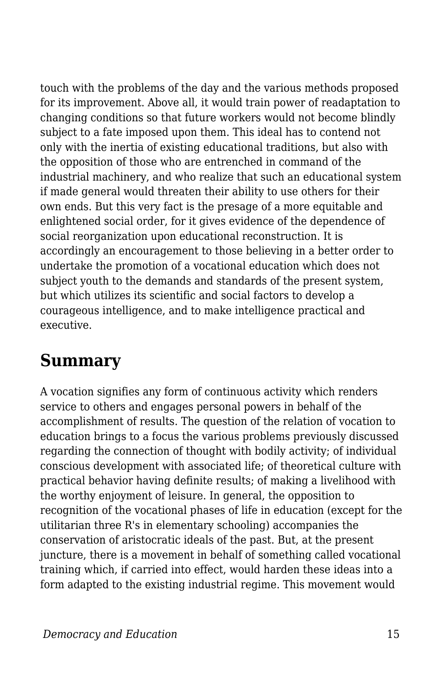touch with the problems of the day and the various methods proposed for its improvement. Above all, it would train power of readaptation to changing conditions so that future workers would not become blindly subject to a fate imposed upon them. This ideal has to contend not only with the inertia of existing educational traditions, but also with the opposition of those who are entrenched in command of the industrial machinery, and who realize that such an educational system if made general would threaten their ability to use others for their own ends. But this very fact is the presage of a more equitable and enlightened social order, for it gives evidence of the dependence of social reorganization upon educational reconstruction. It is accordingly an encouragement to those believing in a better order to undertake the promotion of a vocational education which does not subject youth to the demands and standards of the present system, but which utilizes its scientific and social factors to develop a courageous intelligence, and to make intelligence practical and executive.

#### **Summary**

A vocation signifies any form of continuous activity which renders service to others and engages personal powers in behalf of the accomplishment of results. The question of the relation of vocation to education brings to a focus the various problems previously discussed regarding the connection of thought with bodily activity; of individual conscious development with associated life; of theoretical culture with practical behavior having definite results; of making a livelihood with the worthy enjoyment of leisure. In general, the opposition to recognition of the vocational phases of life in education (except for the utilitarian three R's in elementary schooling) accompanies the conservation of aristocratic ideals of the past. But, at the present juncture, there is a movement in behalf of something called vocational training which, if carried into effect, would harden these ideas into a form adapted to the existing industrial regime. This movement would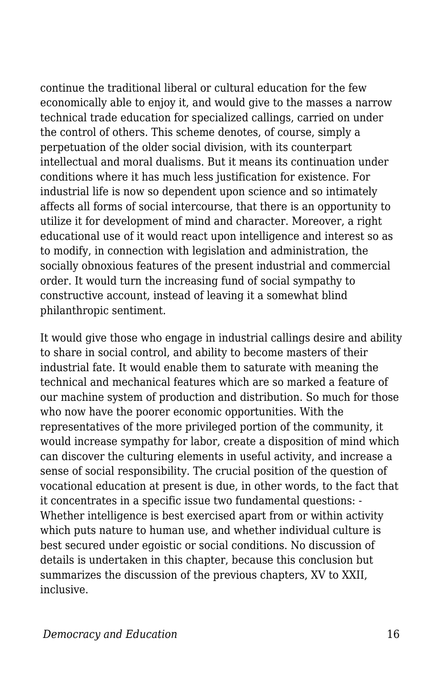continue the traditional liberal or cultural education for the few economically able to enjoy it, and would give to the masses a narrow technical trade education for specialized callings, carried on under the control of others. This scheme denotes, of course, simply a perpetuation of the older social division, with its counterpart intellectual and moral dualisms. But it means its continuation under conditions where it has much less justification for existence. For industrial life is now so dependent upon science and so intimately affects all forms of social intercourse, that there is an opportunity to utilize it for development of mind and character. Moreover, a right educational use of it would react upon intelligence and interest so as to modify, in connection with legislation and administration, the socially obnoxious features of the present industrial and commercial order. It would turn the increasing fund of social sympathy to constructive account, instead of leaving it a somewhat blind philanthropic sentiment.

It would give those who engage in industrial callings desire and ability to share in social control, and ability to become masters of their industrial fate. It would enable them to saturate with meaning the technical and mechanical features which are so marked a feature of our machine system of production and distribution. So much for those who now have the poorer economic opportunities. With the representatives of the more privileged portion of the community, it would increase sympathy for labor, create a disposition of mind which can discover the culturing elements in useful activity, and increase a sense of social responsibility. The crucial position of the question of vocational education at present is due, in other words, to the fact that it concentrates in a specific issue two fundamental questions: - Whether intelligence is best exercised apart from or within activity which puts nature to human use, and whether individual culture is best secured under egoistic or social conditions. No discussion of details is undertaken in this chapter, because this conclusion but summarizes the discussion of the previous chapters, XV to XXII, inclusive.